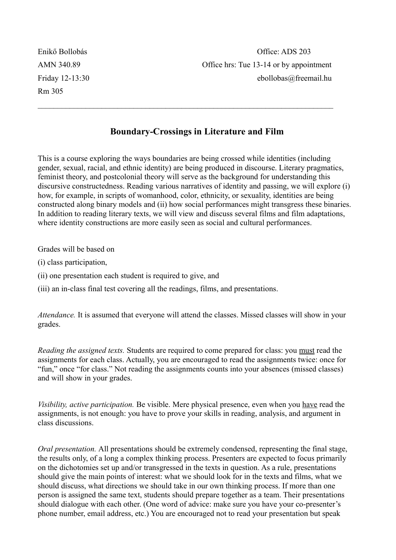Rm 305

## **Boundary-Crossings in Literature and Film**

 $\mathcal{L}_\text{max}$  , and the contribution of the contribution of the contribution of the contribution of the contribution of the contribution of the contribution of the contribution of the contribution of the contribution of t

This is a course exploring the ways boundaries are being crossed while identities (including gender, sexual, racial, and ethnic identity) are being produced in discourse. Literary pragmatics, feminist theory, and postcolonial theory will serve as the background for understanding this discursive constructedness. Reading various narratives of identity and passing, we will explore (i) how, for example, in scripts of womanhood, color, ethnicity, or sexuality, identities are being constructed along binary models and (ii) how social performances might transgress these binaries. In addition to reading literary texts, we will view and discuss several films and film adaptations, where identity constructions are more easily seen as social and cultural performances.

Grades will be based on

(i) class participation,

(ii) one presentation each student is required to give, and

(iii) an in-class final test covering all the readings, films, and presentations.

*Attendance.* It is assumed that everyone will attend the classes. Missed classes will show in your grades.

*Reading the assigned texts.* Students are required to come prepared for class: you must read the assignments for each class. Actually, you are encouraged to read the assignments twice: once for "fun," once "for class." Not reading the assignments counts into your absences (missed classes) and will show in your grades.

*Visibility, active participation.* Be visible. Mere physical presence, even when you have read the assignments, is not enough: you have to prove your skills in reading, analysis, and argument in class discussions.

*Oral presentation.* All presentations should be extremely condensed, representing the final stage, the results only, of a long a complex thinking process. Presenters are expected to focus primarily on the dichotomies set up and/or transgressed in the texts in question. As a rule, presentations should give the main points of interest: what we should look for in the texts and films, what we should discuss, what directions we should take in our own thinking process. If more than one person is assigned the same text, students should prepare together as a team. Their presentations should dialogue with each other. (One word of advice: make sure you have your co-presenter's phone number, email address, etc.) You are encouraged not to read your presentation but speak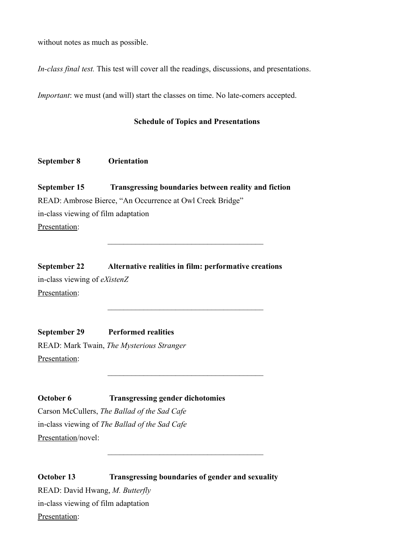without notes as much as possible.

*In-class final test.* This test will cover all the readings, discussions, and presentations.

*Important*: we must (and will) start the classes on time. No late-comers accepted.

#### **Schedule of Topics and Presentations**

#### **September 8 Orientation**

**September 15 Transgressing boundaries between reality and fiction** READ: Ambrose Bierce, "An Occurrence at Owl Creek Bridge" in-class viewing of film adaptation Presentation:

 $\overline{\phantom{a}}$  ,  $\overline{\phantom{a}}$  ,  $\overline{\phantom{a}}$  ,  $\overline{\phantom{a}}$  ,  $\overline{\phantom{a}}$  ,  $\overline{\phantom{a}}$  ,  $\overline{\phantom{a}}$  ,  $\overline{\phantom{a}}$  ,  $\overline{\phantom{a}}$  ,  $\overline{\phantom{a}}$  ,  $\overline{\phantom{a}}$  ,  $\overline{\phantom{a}}$  ,  $\overline{\phantom{a}}$  ,  $\overline{\phantom{a}}$  ,  $\overline{\phantom{a}}$  ,  $\overline{\phantom{a}}$ 

 $\overline{\phantom{a}}$  ,  $\overline{\phantom{a}}$  ,  $\overline{\phantom{a}}$  ,  $\overline{\phantom{a}}$  ,  $\overline{\phantom{a}}$  ,  $\overline{\phantom{a}}$  ,  $\overline{\phantom{a}}$  ,  $\overline{\phantom{a}}$  ,  $\overline{\phantom{a}}$  ,  $\overline{\phantom{a}}$  ,  $\overline{\phantom{a}}$  ,  $\overline{\phantom{a}}$  ,  $\overline{\phantom{a}}$  ,  $\overline{\phantom{a}}$  ,  $\overline{\phantom{a}}$  ,  $\overline{\phantom{a}}$ 

 $\mathcal{L}_\text{max}$ 

 $\overline{\phantom{a}}$  ,  $\overline{\phantom{a}}$  ,  $\overline{\phantom{a}}$  ,  $\overline{\phantom{a}}$  ,  $\overline{\phantom{a}}$  ,  $\overline{\phantom{a}}$  ,  $\overline{\phantom{a}}$  ,  $\overline{\phantom{a}}$  ,  $\overline{\phantom{a}}$  ,  $\overline{\phantom{a}}$  ,  $\overline{\phantom{a}}$  ,  $\overline{\phantom{a}}$  ,  $\overline{\phantom{a}}$  ,  $\overline{\phantom{a}}$  ,  $\overline{\phantom{a}}$  ,  $\overline{\phantom{a}}$ 

**September 22 Alternative realities in film: performative creations** in-class viewing of *eXistenZ* Presentation:

**September 29 Performed realities** READ: Mark Twain, *The Mysterious Stranger* Presentation:

**October 6 Transgressing gender dichotomies** Carson McCullers, *The Ballad of the Sad Cafe* in-class viewing of *The Ballad of the Sad Cafe* Presentation/novel:

**October 13** Transgressing boundaries of gender and sexuality READ: David Hwang, *M. Butterfly* in-class viewing of film adaptation Presentation: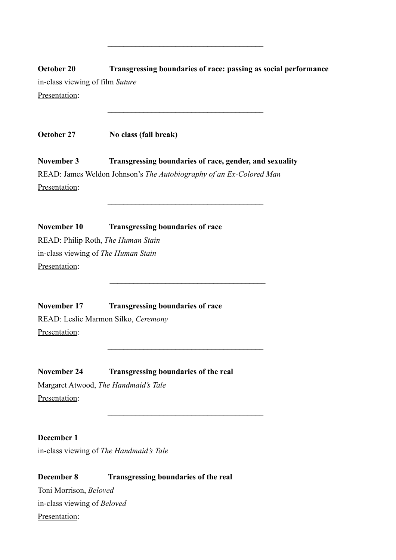# **October 20 Transgressing boundaries of race: passing as social performance** in-class viewing of film *Suture* Presentation:

 $\overline{\phantom{a}}$  ,  $\overline{\phantom{a}}$  ,  $\overline{\phantom{a}}$  ,  $\overline{\phantom{a}}$  ,  $\overline{\phantom{a}}$  ,  $\overline{\phantom{a}}$  ,  $\overline{\phantom{a}}$  ,  $\overline{\phantom{a}}$  ,  $\overline{\phantom{a}}$  ,  $\overline{\phantom{a}}$  ,  $\overline{\phantom{a}}$  ,  $\overline{\phantom{a}}$  ,  $\overline{\phantom{a}}$  ,  $\overline{\phantom{a}}$  ,  $\overline{\phantom{a}}$  ,  $\overline{\phantom{a}}$ 

 $\overline{\phantom{a}}$  ,  $\overline{\phantom{a}}$  ,  $\overline{\phantom{a}}$  ,  $\overline{\phantom{a}}$  ,  $\overline{\phantom{a}}$  ,  $\overline{\phantom{a}}$  ,  $\overline{\phantom{a}}$  ,  $\overline{\phantom{a}}$  ,  $\overline{\phantom{a}}$  ,  $\overline{\phantom{a}}$  ,  $\overline{\phantom{a}}$  ,  $\overline{\phantom{a}}$  ,  $\overline{\phantom{a}}$  ,  $\overline{\phantom{a}}$  ,  $\overline{\phantom{a}}$  ,  $\overline{\phantom{a}}$ 

 $\overline{\phantom{a}}$  ,  $\overline{\phantom{a}}$  ,  $\overline{\phantom{a}}$  ,  $\overline{\phantom{a}}$  ,  $\overline{\phantom{a}}$  ,  $\overline{\phantom{a}}$  ,  $\overline{\phantom{a}}$  ,  $\overline{\phantom{a}}$  ,  $\overline{\phantom{a}}$  ,  $\overline{\phantom{a}}$  ,  $\overline{\phantom{a}}$  ,  $\overline{\phantom{a}}$  ,  $\overline{\phantom{a}}$  ,  $\overline{\phantom{a}}$  ,  $\overline{\phantom{a}}$  ,  $\overline{\phantom{a}}$ 

 $\overline{\phantom{a}}$  ,  $\overline{\phantom{a}}$  ,  $\overline{\phantom{a}}$  ,  $\overline{\phantom{a}}$  ,  $\overline{\phantom{a}}$  ,  $\overline{\phantom{a}}$  ,  $\overline{\phantom{a}}$  ,  $\overline{\phantom{a}}$  ,  $\overline{\phantom{a}}$  ,  $\overline{\phantom{a}}$  ,  $\overline{\phantom{a}}$  ,  $\overline{\phantom{a}}$  ,  $\overline{\phantom{a}}$  ,  $\overline{\phantom{a}}$  ,  $\overline{\phantom{a}}$  ,  $\overline{\phantom{a}}$ 

 $\overline{\phantom{a}}$  ,  $\overline{\phantom{a}}$  ,  $\overline{\phantom{a}}$  ,  $\overline{\phantom{a}}$  ,  $\overline{\phantom{a}}$  ,  $\overline{\phantom{a}}$  ,  $\overline{\phantom{a}}$  ,  $\overline{\phantom{a}}$  ,  $\overline{\phantom{a}}$  ,  $\overline{\phantom{a}}$  ,  $\overline{\phantom{a}}$  ,  $\overline{\phantom{a}}$  ,  $\overline{\phantom{a}}$  ,  $\overline{\phantom{a}}$  ,  $\overline{\phantom{a}}$  ,  $\overline{\phantom{a}}$ 

 $\overline{\phantom{a}}$  ,  $\overline{\phantom{a}}$  ,  $\overline{\phantom{a}}$  ,  $\overline{\phantom{a}}$  ,  $\overline{\phantom{a}}$  ,  $\overline{\phantom{a}}$  ,  $\overline{\phantom{a}}$  ,  $\overline{\phantom{a}}$  ,  $\overline{\phantom{a}}$  ,  $\overline{\phantom{a}}$  ,  $\overline{\phantom{a}}$  ,  $\overline{\phantom{a}}$  ,  $\overline{\phantom{a}}$  ,  $\overline{\phantom{a}}$  ,  $\overline{\phantom{a}}$  ,  $\overline{\phantom{a}}$ 

**October 27 No class (fall break)**

**November 3 Transgressing boundaries of race, gender, and sexuality** READ: James Weldon Johnson's *The Autobiography of an Ex-Colored Man* Presentation:

**November 10 Transgressing boundaries of race** READ: Philip Roth, *The Human Stain* in-class viewing of *The Human Stain* Presentation:

**November 17 Transgressing boundaries of race** READ: Leslie Marmon Silko, *Ceremony* Presentation:

**November 24 Transgressing boundaries of the real** Margaret Atwood, *The Handmaid's Tale* Presentation:

**December 1** in-class viewing of *The Handmaid's Tale*

**December 8 Transgressing boundaries of the real** Toni Morrison, *Beloved* in-class viewing of *Beloved* Presentation: